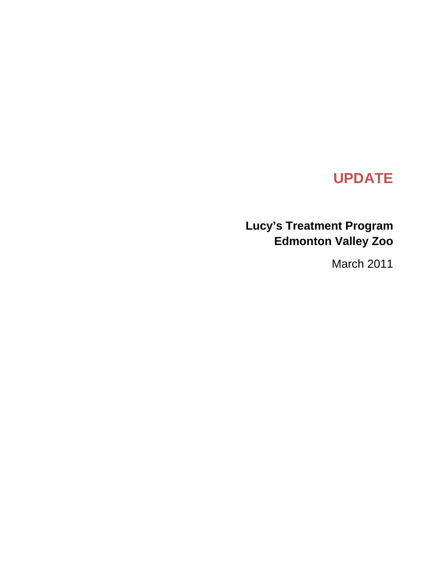# **UPDATE**

# **Lucy's Treatment Program Edmonton Valley Zoo**

March 2011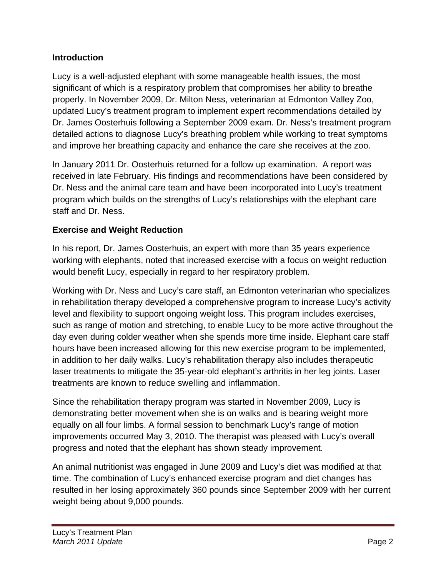#### **Introduction**

Lucy is a well-adjusted elephant with some manageable health issues, the most significant of which is a respiratory problem that compromises her ability to breathe properly. In November 2009, Dr. Milton Ness, veterinarian at Edmonton Valley Zoo, updated Lucy's treatment program to implement expert recommendations detailed by Dr. James Oosterhuis following a September 2009 exam. Dr. Ness's treatment program detailed actions to diagnose Lucy's breathing problem while working to treat symptoms and improve her breathing capacity and enhance the care she receives at the zoo.

In January 2011 Dr. Oosterhuis returned for a follow up examination. A report was received in late February. His findings and recommendations have been considered by Dr. Ness and the animal care team and have been incorporated into Lucy's treatment program which builds on the strengths of Lucy's relationships with the elephant care staff and Dr. Ness.

## **Exercise and Weight Reduction**

In his report, Dr. James Oosterhuis, an expert with more than 35 years experience working with elephants, noted that increased exercise with a focus on weight reduction would benefit Lucy, especially in regard to her respiratory problem.

Working with Dr. Ness and Lucy's care staff, an Edmonton veterinarian who specializes in rehabilitation therapy developed a comprehensive program to increase Lucy's activity level and flexibility to support ongoing weight loss. This program includes exercises, such as range of motion and stretching, to enable Lucy to be more active throughout the day even during colder weather when she spends more time inside. Elephant care staff hours have been increased allowing for this new exercise program to be implemented, in addition to her daily walks. Lucy's rehabilitation therapy also includes therapeutic laser treatments to mitigate the 35-year-old elephant's arthritis in her leg joints. Laser treatments are known to reduce swelling and inflammation.

Since the rehabilitation therapy program was started in November 2009, Lucy is demonstrating better movement when she is on walks and is bearing weight more equally on all four limbs. A formal session to benchmark Lucy's range of motion improvements occurred May 3, 2010. The therapist was pleased with Lucy's overall progress and noted that the elephant has shown steady improvement.

An animal nutritionist was engaged in June 2009 and Lucy's diet was modified at that time. The combination of Lucy's enhanced exercise program and diet changes has resulted in her losing approximately 360 pounds since September 2009 with her current weight being about 9,000 pounds.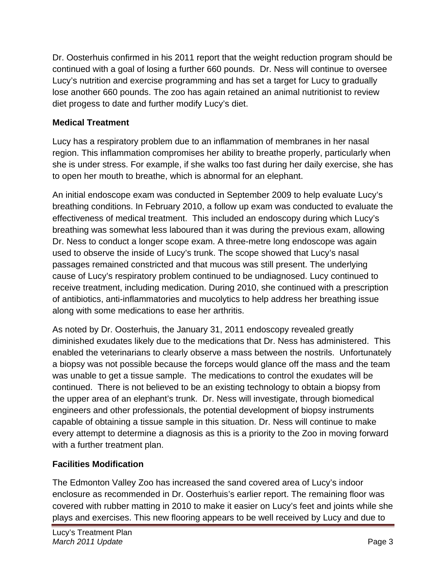Dr. Oosterhuis confirmed in his 2011 report that the weight reduction program should be continued with a goal of losing a further 660 pounds. Dr. Ness will continue to oversee Lucy's nutrition and exercise programming and has set a target for Lucy to gradually lose another 660 pounds. The zoo has again retained an animal nutritionist to review diet progess to date and further modify Lucy's diet.

#### **Medical Treatment**

Lucy has a respiratory problem due to an inflammation of membranes in her nasal region. This inflammation compromises her ability to breathe properly, particularly when she is under stress. For example, if she walks too fast during her daily exercise, she has to open her mouth to breathe, which is abnormal for an elephant.

An initial endoscope exam was conducted in September 2009 to help evaluate Lucy's breathing conditions. In February 2010, a follow up exam was conducted to evaluate the effectiveness of medical treatment. This included an endoscopy during which Lucy's breathing was somewhat less laboured than it was during the previous exam, allowing Dr. Ness to conduct a longer scope exam. A three-metre long endoscope was again used to observe the inside of Lucy's trunk. The scope showed that Lucy's nasal passages remained constricted and that mucous was still present. The underlying cause of Lucy's respiratory problem continued to be undiagnosed. Lucy continued to receive treatment, including medication. During 2010, she continued with a prescription of antibiotics, anti-inflammatories and mucolytics to help address her breathing issue along with some medications to ease her arthritis.

As noted by Dr. Oosterhuis, the January 31, 2011 endoscopy revealed greatly diminished exudates likely due to the medications that Dr. Ness has administered. This enabled the veterinarians to clearly observe a mass between the nostrils. Unfortunately a biopsy was not possible because the forceps would glance off the mass and the team was unable to get a tissue sample. The medications to control the exudates will be continued. There is not believed to be an existing technology to obtain a biopsy from the upper area of an elephant's trunk. Dr. Ness will investigate, through biomedical engineers and other professionals, the potential development of biopsy instruments capable of obtaining a tissue sample in this situation. Dr. Ness will continue to make every attempt to determine a diagnosis as this is a priority to the Zoo in moving forward with a further treatment plan.

## **Facilities Modification**

The Edmonton Valley Zoo has increased the sand covered area of Lucy's indoor enclosure as recommended in Dr. Oosterhuis's earlier report. The remaining floor was covered with rubber matting in 2010 to make it easier on Lucy's feet and joints while she plays and exercises. This new flooring appears to be well received by Lucy and due to